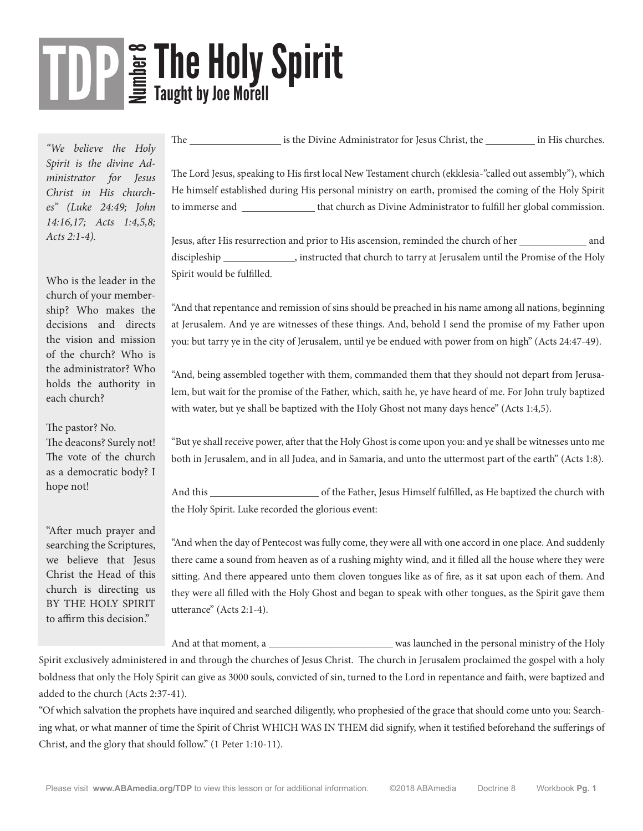# **So The Holy Spirit<br>So Taught by Joe Morell** TDP

*"We believe the Holy Spirit is the divine Administrator for Jesus Christ in His churches" (Luke 24:49; John 14:16,17; Acts 1:4,5,8; Acts 2:1-4).*

Who is the leader in the church of your membership? Who makes the decisions and directs the vision and mission of the church? Who is the administrator? Who holds the authority in each church?

The pastor? No.

The deacons? Surely not! The vote of the church as a democratic body? I hope not!

"After much prayer and searching the Scriptures, we believe that Jesus Christ the Head of this church is directing us BY THE HOLY SPIRIT to affirm this decision."

The is the Divine Administrator for Jesus Christ, the in His churches.

The Lord Jesus, speaking to His first local New Testament church (ekklesia-"called out assembly"), which He himself established during His personal ministry on earth, promised the coming of the Holy Spirit to immerse and \_\_\_\_\_\_\_\_\_\_\_\_\_\_\_ that church as Divine Administrator to fulfill her global commission.

Jesus, after His resurrection and prior to His ascension, reminded the church of her \_\_\_\_\_\_\_\_\_\_\_\_\_\_\_ and discipleship , instructed that church to tarry at Jerusalem until the Promise of the Holy Spirit would be fulfilled.

"And that repentance and remission of sins should be preached in his name among all nations, beginning at Jerusalem. And ye are witnesses of these things. And, behold I send the promise of my Father upon you: but tarry ye in the city of Jerusalem, until ye be endued with power from on high" (Acts 24:47-49).

"And, being assembled together with them, commanded them that they should not depart from Jerusalem, but wait for the promise of the Father, which, saith he, ye have heard of me. For John truly baptized with water, but ye shall be baptized with the Holy Ghost not many days hence" (Acts 1:4,5).

"But ye shall receive power, after that the Holy Ghost is come upon you: and ye shall be witnesses unto me both in Jerusalem, and in all Judea, and in Samaria, and unto the uttermost part of the earth" (Acts 1:8).

And this of the Father, Jesus Himself fulfilled, as He baptized the church with the Holy Spirit. Luke recorded the glorious event:

"And when the day of Pentecost was fully come, they were all with one accord in one place. And suddenly there came a sound from heaven as of a rushing mighty wind, and it filled all the house where they were sitting. And there appeared unto them cloven tongues like as of fire, as it sat upon each of them. And they were all filled with the Holy Ghost and began to speak with other tongues, as the Spirit gave them utterance" (Acts 2:1-4).

And at that moment, a was launched in the personal ministry of the Holy Spirit exclusively administered in and through the churches of Jesus Christ. The church in Jerusalem proclaimed the gospel with a holy boldness that only the Holy Spirit can give as 3000 souls, convicted of sin, turned to the Lord in repentance and faith, were baptized and added to the church (Acts 2:37-41).

"Of which salvation the prophets have inquired and searched diligently, who prophesied of the grace that should come unto you: Searching what, or what manner of time the Spirit of Christ WHICH WAS IN THEM did signify, when it testified beforehand the sufferings of Christ, and the glory that should follow." (1 Peter 1:10-11).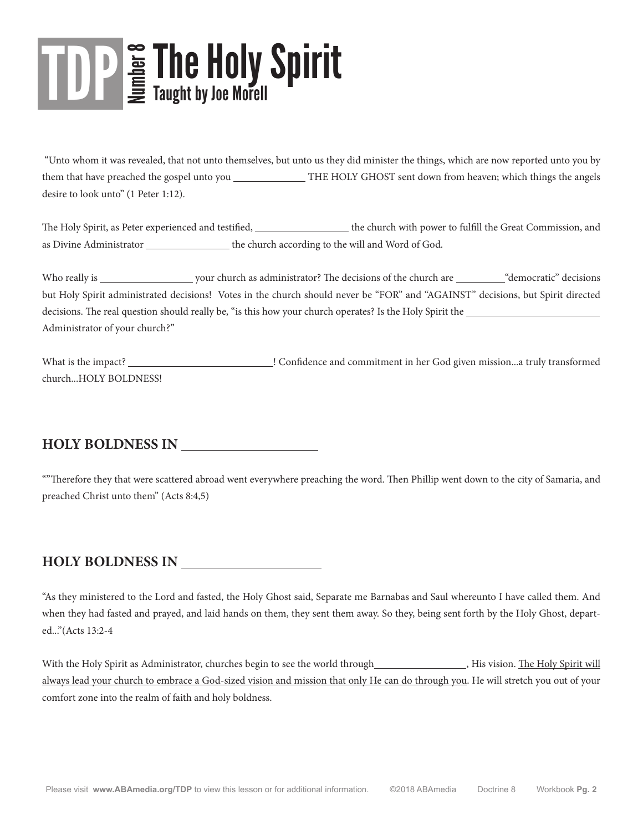# The Holy Spirit The Holy Spirit Taught by Joe Morell

 "Unto whom it was revealed, that not unto themselves, but unto us they did minister the things, which are now reported unto you by them that have preached the gospel unto you \_\_\_\_\_\_\_\_\_\_\_\_\_\_THE HOLY GHOST sent down from heaven; which things the angels desire to look unto" (1 Peter 1:12).

The Holy Spirit, as Peter experienced and testified, the church with power to fulfill the Great Commission, and as Divine Administrator \_\_\_\_\_\_\_\_\_\_\_\_\_\_\_\_\_ the church according to the will and Word of God.

Who really is your church as administrator? The decisions of the church are we democratic decisions but Holy Spirit administrated decisions! Votes in the church should never be "FOR" and "AGAINST" decisions, but Spirit directed decisions. The real question should really be, "is this how your church operates? Is the Holy Spirit the Administrator of your church?"

What is the impact? **In the impact of the impact of the impact of the Confidence and commitment in her God given mission...a truly transformed** church...HOLY BOLDNESS!

#### **HOLY BOLDNESS IN**

""Therefore they that were scattered abroad went everywhere preaching the word. Then Phillip went down to the city of Samaria, and preached Christ unto them" (Acts 8:4,5)

#### **HOLY BOLDNESS IN**

"As they ministered to the Lord and fasted, the Holy Ghost said, Separate me Barnabas and Saul whereunto I have called them. And when they had fasted and prayed, and laid hands on them, they sent them away. So they, being sent forth by the Holy Ghost, departed..."(Acts 13:2-4

With the Holy Spirit as Administrator, churches begin to see the world through , His vision. The Holy Spirit will always lead your church to embrace a God-sized vision and mission that only He can do through you. He will stretch you out of your comfort zone into the realm of faith and holy boldness.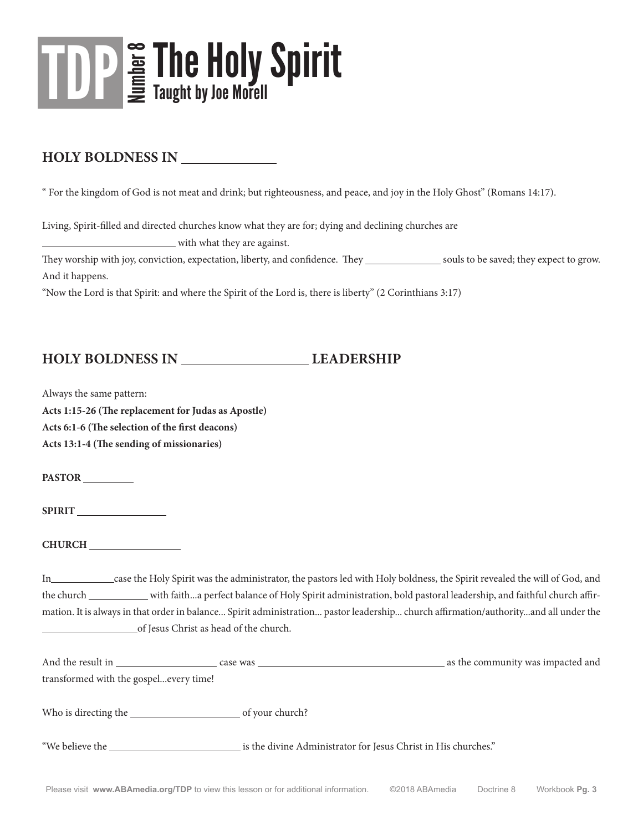

#### **HOLY BOLDNESS IN**

" For the kingdom of God is not meat and drink; but righteousness, and peace, and joy in the Holy Ghost" (Romans 14:17).

Living, Spirit-filled and directed churches know what they are for; dying and declining churches are

with what they are against.

They worship with joy, conviction, expectation, liberty, and confidence. They souls to be saved; they expect to grow. And it happens.

"Now the Lord is that Spirit: and where the Spirit of the Lord is, there is liberty" (2 Corinthians 3:17)

#### **HOLY BOLDNESS IN LEADERSHIP**

Always the same pattern:

**Acts 1:15-26 (The replacement for Judas as Apostle)**

**Acts 6:1-6 (The selection of the first deacons)**

**Acts 13:1-4 (The sending of missionaries)**

**PASTOR** 

**SPIRIT** 

**CHURCH** 

In case the Holy Spirit was the administrator, the pastors led with Holy boldness, the Spirit revealed the will of God, and the church with faith...a perfect balance of Holy Spirit administration, bold pastoral leadership, and faithful church affirmation. It is always in that order in balance... Spirit administration... pastor leadership... church affirmation/authority...and all under the of Jesus Christ as head of the church.

| And the result in                      | case was        | as the community was impacted and |
|----------------------------------------|-----------------|-----------------------------------|
| transformed with the gospelevery time! |                 |                                   |
|                                        |                 |                                   |
| Who is directing the                   | of your church? |                                   |
|                                        |                 |                                   |

"We believe the **interpret is the divine Administrator** for Jesus Christ in His churches."